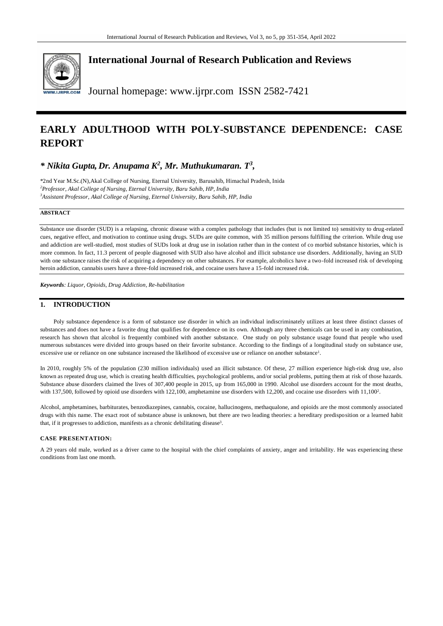

**International Journal of Research Publication and Reviews**

Journal homepage: www.ijrpr.com ISSN 2582-7421

# **EARLY ADULTHOOD WITH POLY-SUBSTANCE DEPENDENCE: CASE REPORT**

## *\* Nikita Gupta, Dr. Anupama K<sup>2</sup> , Mr. Muthukumaran. T<sup>3</sup> ,*

\*2nd Year M.Sc.(N),Akal College of Nursing, Eternal University, Barusahib, Himachal Pradesh, Inida *<sup>2</sup>Professor, Akal College of Nursing, Eternal University, Baru Sahib, HP, India <sup>3</sup>Assistant Professor, Akal College of Nursing, Eternal University, Baru Sahib, HP, India*

#### **ABSTRACT**

Substance use disorder (SUD) is a relapsing, chronic disease with a complex pathology that includes (but is not limited to) sensitivity to drug-related cues, negative effect, and motivation to continue using drugs. SUDs are quite common, with 35 million persons fulfilling the criterion. While drug use and addiction are well-studied, most studies of SUDs look at drug use in isolation rather than in the context of co morbid substance histories, which is more common. In fact, 11.3 percent of people diagnosed with SUD also have alcohol and illicit substance use disorders. Additionally, having an SUD with one substance raises the risk of acquiring a dependency on other substances. For example, alcoholics have a two-fold increased risk of developing heroin addiction, cannabis users have a three-fold increased risk, and cocaine users have a 15-fold increased risk.

*Keywords: Liquor, Opioids, Drug Addiction, Re-habilitation*

## **1. INTRODUCTION**

Poly substance dependence is a form of substance use disorder in which an individual indiscriminately utilizes at least three distinct classes of substances and does not have a favorite drug that qualifies for dependence on its own. Although any three chemicals can be used in any combination, research has shown that alcohol is frequently combined with another substance. One study on poly substance usage found that people who used numerous substances were divided into groups based on their favorite substance. According to the findings of a longitudinal study on substance use, excessive use or reliance on one substance increased the likelihood of excessive use or reliance on another substance<sup>1</sup>.

In 2010, roughly 5% of the population (230 million individuals) used an illicit substance. Of these, 27 million experience high-risk drug use, also known as repeated drug use, which is creating health difficulties, psychological problems, and/or social problems, putting them at risk of those hazards. Substance abuse disorders claimed the lives of 307,400 people in 2015, up from 165,000 in 1990. Alcohol use disorders account for the most deaths, with 137,500, followed by opioid use disorders with 122,100, amphetamine use disorders with 12,200, and cocaine use disorders with 11,100<sup>2</sup>.

Alcohol, amphetamines, barbiturates, benzodiazepines, cannabis, cocaine, hallucinogens, methaqualone, and opioids are the most commonly associated drugs with this name. The exact root of substance abuse is unknown, but there are two leading theories: a hereditary predisposition or a learned habit that, if it progresses to addiction, manifests as a chronic debilitating disease<sup>3</sup>.

## **CASE PRESENTATION:**

A 29 years old male, worked as a driver came to the hospital with the chief complaints of anxiety, anger and irritability. He was experiencing these conditions from last one month.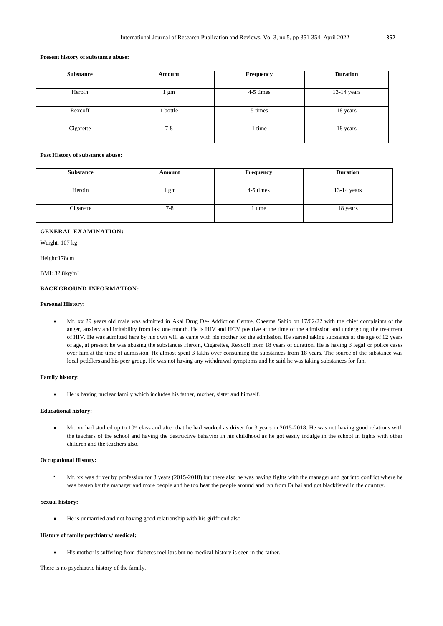#### **Present history of substance abuse:**

| <b>Substance</b> | Amount         | <b>Frequency</b> | <b>Duration</b> |
|------------------|----------------|------------------|-----------------|
|                  |                |                  |                 |
| Heroin           | $1 \text{ gm}$ | 4-5 times        | $13-14$ years   |
|                  |                |                  |                 |
| Rexcoff          | bottle         | 5 times          | 18 years        |
|                  |                |                  |                 |
| Cigarette        | $7 - 8$        | l time           | 18 years        |
|                  |                |                  |                 |

#### **Past History of substance abuse:**

| Substance | Amount | <b>Frequency</b> | <b>Duration</b> |
|-----------|--------|------------------|-----------------|
| Heroin    | gm     | 4-5 times        | $13-14$ years   |
| Cigarette | $7-8$  | time             | 18 years        |

## **GENERAL EXAMINATION:**

Weight: 107 kg

Height:178cm

## BMI: 32.8kg/m<sup>2</sup>

## **BACKGROUND INFORMATION:**

#### **Personal History:**

 Mr. xx 29 years old male was admitted in Akal Drug De- Addiction Centre, Cheema Sahib on 17/02/22 with the chief complaints of the anger, anxiety and irritability from last one month. He is HIV and HCV positive at the time of the admission and undergoing the treatment of HIV. He was admitted here by his own will as came with his mother for the admission. He started taking substance at the age of 12 years of age, at present he was abusing the substances Heroin, Cigarettes, Rexcoff from 18 years of duration. He is having 3 legal or police cases over him at the time of admission. He almost spent 3 lakhs over consuming the substances from 18 years. The source of the substance was local peddlers and his peer group. He was not having any withdrawal symptoms and he said he was taking substances for fun.

#### **Family history:**

He is having nuclear family which includes his father, mother, sister and himself.

## **Educational history:**

Mr. xx had studied up to 10<sup>th</sup> class and after that he had worked as driver for 3 years in 2015-2018. He was not having good relations with the teachers of the school and having the destructive behavior in his childhood as he got easily indulge in the school in fights with other children and the teachers also.

## **Occupational History:**

 Mr. xx was driver by profession for 3 years (2015-2018) but there also he was having fights with the manager and got into conflict where he was beaten by the manager and more people and he too beat the people around and ran from Dubai and got blacklisted in the country.

#### **Sexual history:**

He is unmarried and not having good relationship with his girlfriend also.

#### **History of family psychiatry/ medical:**

His mother is suffering from diabetes mellitus but no medical history is seen in the father.

There is no psychiatric history of the family.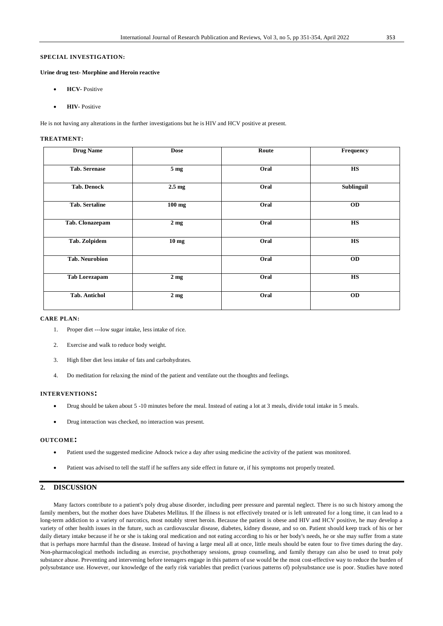## **SPECIAL INVESTIGATION:**

#### **Urine drug test- Morphine and Heroin reactive**

- **HCV-** Positive
- **HIV-** Positive

He is not having any alterations in the further investigations but he is HIV and HCV positive at present.

#### **TREATMENT:**

| <b>Drug Name</b>      | <b>Dose</b>       | Route | Frequency              |
|-----------------------|-------------------|-------|------------------------|
| <b>Tab. Serenase</b>  | 5 <sub>mg</sub>   | Oral  | <b>HS</b>              |
| <b>Tab. Denock</b>    | $2.5 \text{ mg}$  | Oral  | Sublinguil             |
| <b>Tab. Sertaline</b> | $100$ mg          | Oral  | <b>OD</b>              |
| Tab. Clonazepam       | 2 <sub>mg</sub>   | Oral  | $\mathbf{H}\mathbf{S}$ |
| <b>Tab. Zolpidem</b>  | 10 <sub>mg</sub>  | Oral  | <b>HS</b>              |
| <b>Tab. Neurobion</b> |                   | Oral  | <b>OD</b>              |
| <b>Tab Lorezapam</b>  | 2 <sub>mg</sub>   | Oral  | <b>HS</b>              |
| <b>Tab. Antichol</b>  | $\overline{2}$ mg | Oral  | <b>OD</b>              |

### **CARE PLAN:**

- 1. Proper diet ---low sugar intake, less intake of rice.
- 2. Exercise and walk to reduce body weight.
- 3. High fiber diet less intake of fats and carbohydrates.
- 4. Do meditation for relaxing the mind of the patient and ventilate out the thoughts and feelings.

## **INTERVENTIONS:**

- Drug should be taken about 5 -10 minutes before the meal. Instead of eating a lot at 3 meals, divide total intake in 5 meals.
- Drug interaction was checked, no interaction was present.

#### **OUTCOME:**

- Patient used the suggested medicine Adnock twice a day after using medicine the activity of the patient was monitored.
- Patient was advised to tell the staff if he suffers any side effect in future or, if his symptoms not properly treated.

## **2. DISCUSSION**

Many factors contribute to a patient's poly drug abuse disorder, including peer pressure and parental neglect. There is no su ch history among the family members, but the mother does have Diabetes Mellitus. If the illness is not effectively treated or is left untreated for a long time, it can lead to a long-term addiction to a variety of narcotics, most notably street heroin. Because the patient is obese and HIV and HCV positive, he may develop a variety of other health issues in the future, such as cardiovascular disease, diabetes, kidney disease, and so on. Patient should keep track of his or her daily dietary intake because if he or she is taking oral medication and not eating according to his or her body's needs, he or she may suffer from a state that is perhaps more harmful than the disease. Instead of having a large meal all at once, little meals should be eaten four to five times during the day. Non-pharmacological methods including as exercise, psychotherapy sessions, group counseling, and family therapy can also be used to treat poly substance abuse. Preventing and intervening before teenagers engage in this pattern of use would be the most cost-effective way to reduce the burden of polysubstance use. However, our knowledge of the early risk variables that predict (various patterns of) polysubstance use is poor. Studies have noted